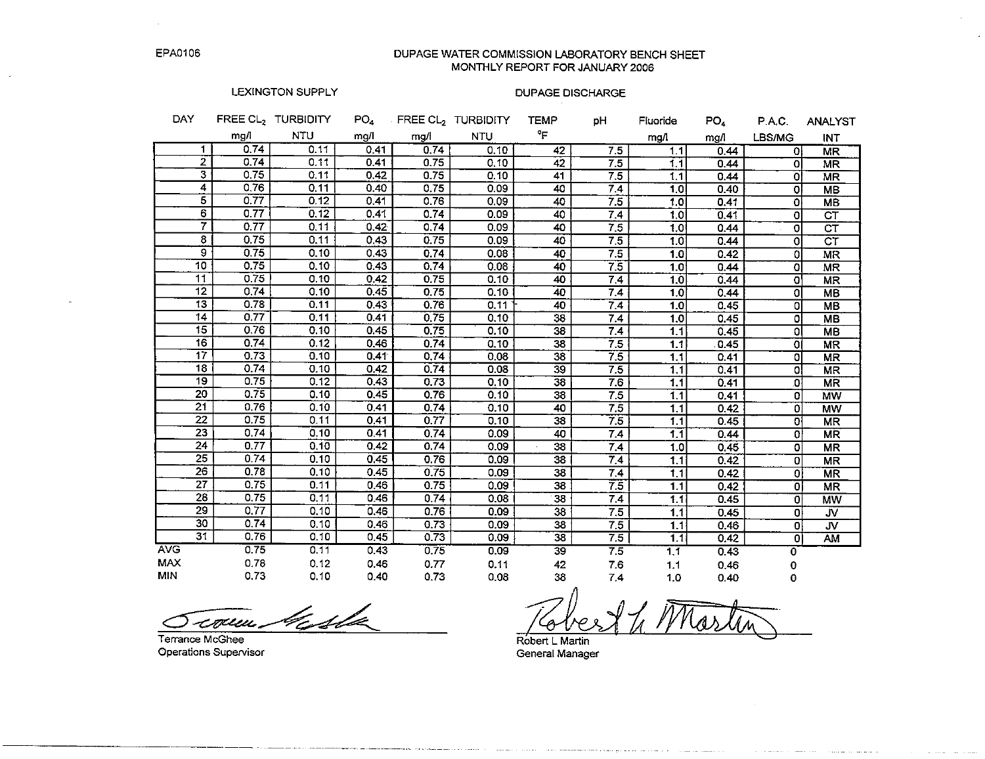DUPAGE WATER COMMISSION LABORATORY BENCH SHEET MONTHLY REPORT FOR JANUARY 2006

#### LEXINGTON SUPPLY

#### **DUPAGE DISCHARGE**

| <b>DAY</b>      |                                 | FREE CL <sub>2</sub> TURBIDITY | PO <sub>4</sub> |      | FREE CL2 TURBIDITY | <b>TEMP</b>     | рH               | Fluoride         | PO <sub>4</sub> | <b>P.A.C.</b> | <b>ANALYST</b>             |
|-----------------|---------------------------------|--------------------------------|-----------------|------|--------------------|-----------------|------------------|------------------|-----------------|---------------|----------------------------|
|                 | mg/l                            | <b>NTU</b>                     | mg/l            | mg/l | <b>NTU</b>         | °F              |                  | mgA              | mg/l            | LBS/MG        | <b>INT</b>                 |
|                 | 0.74<br>1                       | 0.11                           | 0.41            | 0.74 | 0.10               | 42              | 7.5              | 1.1              | 0.44            | 0l            | <b>MR</b>                  |
|                 | $\overline{2}$<br>0.74          | 0.11                           | 0.41            | 0.75 | 0.10               | 42              | 7.5              | 1.1              | 0.44            | οl            | <b>MR</b>                  |
|                 | $\overline{\mathbf{3}}$<br>0.75 | 0.11                           | 0.42            | 0.75 | 0.10               | 41              | 7.5              | 1.1              | 0.44            | $\Omega$      | <b>MR</b>                  |
|                 | 4<br>0.76                       | 0.11                           | 0.40            | 0.75 | 0.09               | 40              | 7.4              | 1.0              | 0.40            | $\Omega$      | <b>MB</b>                  |
|                 | 5<br>0.77                       | 0.12                           | 0.41            | 0.76 | 0.09               | 40              | 7.5              | 1.0              | 0.41            | 0             | <b>MB</b>                  |
|                 | 6<br>0.77                       | 0.12                           | 0.41            | 0.74 | 0.09               | 40              | 7.4              | 1.0              | 0.41            | $\Omega$      | $\overline{\text{CT}}$     |
|                 | 7<br>0.77                       | 0,11                           | 0.42            | 0.74 | 0.09               | 40              | 7.5              | 1.0              | 0.44            | 0             | $\overline{\text{c} \tau}$ |
|                 | 8<br>0.75                       | 0.11                           | 0.43            | 0.75 | 0.09               | 40              | 7.5              | 1.0              | 0.44            | 0             | $\overline{\text{c} \tau}$ |
|                 | 9<br>0.75                       | 0.10                           | 0.43            | 0.74 | 0.08               | 40              | 7.5              | 1.0              | 0.42            | ٥l            | <b>MR</b>                  |
| 10              | 0.75                            | 0.10                           | 0.43            | 0.74 | 0.08               | 40              | 75               | 1.0              | 0.44            | $\Omega$      | <b>MR</b>                  |
| $\overline{11}$ | 0.75                            | 0.10                           | 0.42            | 0.75 | 0.10               | 40              | 7.4              | 1.0              | 0.44            | O'            | <b>MR</b>                  |
| 12              | 0.74                            | 0.10                           | 0.45            | 0.75 | 0.10               | 40              | 7.4              | 1.0              | 0.44            | 0             | <b>MB</b>                  |
| 13              | 0.78                            | 0.11                           | 0.43            | 0.76 | 0.11               | 40              | 7.4              | 1.0              | 0.45            | o             | <b>MB</b>                  |
| 14              | 0.77                            | 0.11                           | 0.41            | 0.75 | 0.10               | 38              | 7.4              | 1.0              | 0.45            | o             | <b>MB</b>                  |
| 15              | 0.76                            | 0.10                           | 0,45            | 0.75 | 0.10               | 38              | 7.4              | 1.1              | 0.45            | ٥l            | <b>MB</b>                  |
| 16              | 0.74                            | 0.12                           | 0.46            | 0.74 | 0.10               | $\overline{38}$ | $\overline{7.5}$ | 1.1              | 0.45            | ΟI            | <b>MR</b>                  |
| $\overline{17}$ | 0.73                            | 0.10                           | 0.41            | 0.74 | 0.08               | 38              | 7.5              | 1.1              | 0.41            | o             | $\overline{\text{MR}}$     |
| $\overline{18}$ | 0.74                            | 0.10                           | 0.42            | 0.74 | 0.08               | $\overline{39}$ | 7.5              | 1.1              | 0.41            | 0l            | <b>MR</b>                  |
| 19              | 0.75                            | 0.12                           | 0.43            | 0.73 | 0.10               | $\overline{38}$ | 7.6              | 1.1              | 0.41            | .OI           | <b>MR</b>                  |
| 20              | 0.75                            | 0.10                           | 0.45            | 0.76 | 0.10               | 38              | 7.5              | 1.1              | 0.41            | $\Omega$      | <b>MW</b>                  |
| 21              | 0.76                            | 0.10                           | 0.41            | 0.74 | 0.10               | 40              | 7.5              | 1.1              | 0.42            | $\Omega$      | <b>MW</b>                  |
| 22              | 0.75                            | 0.11                           | 0.41            | 0.77 | 0.10               | 38              | 7.5              | 1.1              | 0.45            | o             | <b>MR</b>                  |
| 23              | 0.74                            | 0.10                           | 0.41            | 0.74 | 0.09               | 40              | 7.4              | 11               | 0.44            | $\Omega$      | <b>MR</b>                  |
| $\overline{24}$ | 0.77                            | 0,10                           | 0.42            | 0.74 | 0.09               | 38              | 7.4              | 1.0              | 0.45            | $\Omega$      | <b>MR</b>                  |
| 25              | 0.74                            | 0.10                           | 0.45            | 0.76 | 0.09 <sub>1</sub>  | 38              | 7.4              | 1.1              | 0.42            | $\Omega$      | <b>MR</b>                  |
| 26              | 0.78                            | 0.10                           | 0.45            | 0.75 | 0.09               | 38              | 7.4              | $\overline{11}$  | 0.42            | οl            | <b>MR</b>                  |
| $\overline{27}$ | 0.75                            | 0.11                           | 0.46            | 0.75 | 0.09               | 38              | 7.5              | 1.1              | 0.42            | οl            | <b>MR</b>                  |
| 28              | 0.75                            | 0.11                           | 0.46            | 0.74 | 0.08               | 38              | 7.4              | 1.1              | 0.45            | $\Omega$      | <b>MW</b>                  |
| 29              | 0.77                            | 0.10                           | 0.46            | 0.76 | 0.09               | 38              | 7.5              | 1.1              | 0.45            | ٥ŀ            | JV                         |
| 30              | 0.74                            | 0.10                           | 0.46            | 0.73 | 0.09               | 38              | 7.5              | 1.1              | 0.46            | $\Omega$      | JV.                        |
| $\overline{31}$ | 0.76                            | 0.10                           | 0.45            | 0.73 | 0.09               | 38              | 7.5              | 1.1              | 0.42            | $\Omega$      | AM                         |
| <b>AVG</b>      | 0.75                            | 0.11                           | 0.43            | 0.75 | 0.09               | $\overline{39}$ | 7.5              | $\overline{1,1}$ | 0.43            | O             |                            |
| <b>MAX</b>      | 0.78                            | 0.12                           | 0.46            | 0.77 | 0.11               | 42              | 7.6              | 1.1              | 0.46            | 0             |                            |
| <b>MIN</b>      | 0.73                            | 0.10                           | 0.40            | 0.73 | 0.08               | 38              | 7.4              | 1.0              | 0.40            | 0             |                            |

coun Miste

Terrance McGhee Operations Supervisor

Robert L Martin General Manager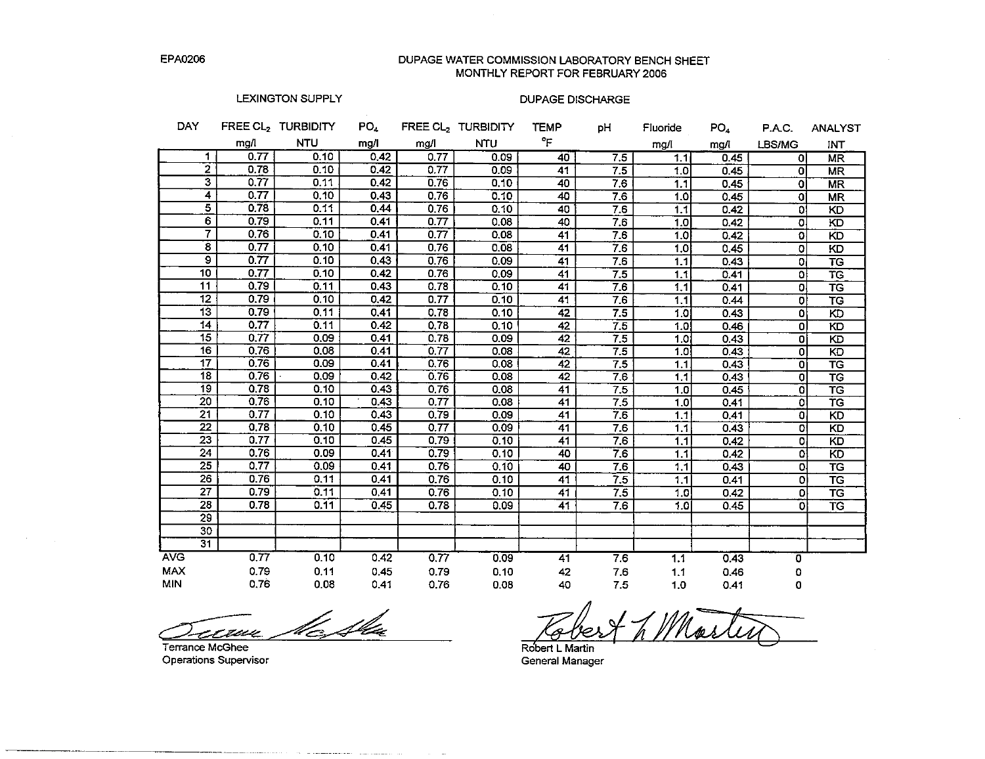DUPAGE WATER COMMISSION LABORATORY BENCH SHEET MONTHLY REPORT FOR FEBRUARY 2006

# LEXINGTON SUPPLY

## **DUPAGE DISCHARGE**

| <b>DAY</b>      |                                 | FREE CL <sub>2</sub> TURBIDITY | PO <sub>4</sub> |                   | FREE CL <sub>2</sub> TURBIDITY | <b>TEMP</b>     | рH              | Fluoride         | PO <sub>4</sub> | P.A.C.         | <b>ANALYST</b>           |
|-----------------|---------------------------------|--------------------------------|-----------------|-------------------|--------------------------------|-----------------|-----------------|------------------|-----------------|----------------|--------------------------|
|                 | mg/l                            | <b>NTU</b>                     | mg/l            | mg/l              | <b>NTU</b>                     | °F              |                 | mg/l             | mg/l            | LBS/MG         | <b>INT</b>               |
|                 | 0.77<br>1                       | 0.10                           | 0.42            | 0.77              | 0.09                           | 40              | 7.5             | 1.1              | 0.45            | οI             | MR                       |
|                 | $\overline{2}$<br>0.78          | 0.10                           | 0.42            | 0.77              | 0.09                           | 41              | $7\overline{5}$ | 1.0              | 0.45            | οl             | <b>MR</b>                |
|                 | $\overline{\mathbf{3}}$<br>0.77 | 0.11                           | 0.42            | 0.76              | 0.10                           | 40              | 7.6             | 1.1              | 0.45            | οl             | <b>MR</b>                |
|                 | 4<br>0.77                       | 0.10                           | 0.43            | 0.76              | 0.10                           | 40              | 7.6             | 1.0              | 0.45            | -Ol            | <b>MR</b>                |
|                 | $\overline{5}$<br>0.78          | 0.11                           | 0.44            | 0.76              | 0.10                           | 40              | 7.6             | 1.1              | 0.42            | οl             | <b>KD</b>                |
|                 | $\overline{6}$<br>0.79          | 0.11                           | 0.41            | 0.77              | 0.08                           | 40              | 7.6             | 1.0              | 0.42            | 0              | K <sub>D</sub>           |
|                 | $\overline{7}$<br>0.76          | 0.10                           | 0.41            | $\overline{0.77}$ | 0.08                           | 41              | 7.6             | 1.0              | 0.42            | $\Omega$       | KD                       |
|                 | $\overline{\mathbf{8}}$<br>0.77 | 0.10                           | 0.41            | 0.76              | 0.08                           | 41              | 76              | 1,0              | 0.45            | ol             | KD                       |
|                 | $\overline{9}$<br>0.77          | 0.10                           | 0.43            | 0.76              | 0.09                           | 41              | 7.6             | 1.1              | 0.43            | οl             | $\overline{\text{TS}}$   |
| $\overline{10}$ | 0.77                            | 0.10                           | 0.42            | 0.76              | 0.09                           | 41              | 7.5             | 1.1              | 0.41            | οł             | TG                       |
| 11              | 0.79                            | 0.11                           | 0.43            | 0.78              | 0.10                           | 41              | 7.6             | 1.1              | 0.41            | ٥l             | $\overline{\text{TS}}$   |
| $\overline{12}$ | 0.79                            | 0.10                           | 0.42            | 0.77              | 0.10                           | 41              | 7.6             | 1.1              | 0.44            | ol             | $\overline{\mathsf{TG}}$ |
|                 | $\overline{13}$<br>0.79         | 0.11                           | 0.41            | 0.78              | 0.10                           | $\overline{42}$ | 7.5             | 1.0              | 0.43            | $\overline{0}$ | $\overline{5}$           |
| 14              | 0.77                            | 0.11                           | 0.42            | 0.78              | 0.10                           | 42              | 7.5             | $\overline{1.0}$ | 0.46            | $\Omega$       | KD                       |
| 15              | 0.77                            | 0.09                           | 0.41            | 0.78              | 0.09                           | 42              | 7.5             | 1.0              | 0.43            | οl             | KD                       |
|                 | 16<br>0.76                      | 0.08                           | 0.41            | 0.77              | 0.08                           | 42              | 7.5             | 1.0              | 0.43            | οl             | KD                       |
|                 | 17<br>0.76                      | 0.09                           | 0.41            | 0.76              | 0.08                           | 42              | 7.5             | 1.1              | 0.43            | ା              | $\overline{\texttt{TS}}$ |
|                 | 18<br>0.76                      | 0.09                           | 0.42            | 0.76              | 0.08                           | 42              | 7.6             | 1.1              | 0.43            | 0l             | $\overline{\mathsf{TG}}$ |
| $\overline{19}$ | 0.78                            | 0.10                           | 0.43            | 0.76              | 0.08                           | 41              | 7.5             | 1.0              | 0.45            | [Ö             | $\overline{\mathsf{TS}}$ |
| $\overline{20}$ | 0.76                            | 0.10                           | 0.43            | 0.77              | 0.08                           | 41              | 7.5             | 1.0 <sub>1</sub> | 0.41            | Οl             | $\overline{\texttt{TG}}$ |
| $\overline{21}$ | 0.77                            | 0.10                           | 0.43            | 0.79              | 0.09                           | 41              | 7.6             | 1.1              | 0.41            | 0              | $\overline{K}$           |
|                 | $\overline{22}$<br>0.78         | 0.10                           | 0.45            | 0.77              | 0.09                           | 41              | 7.6             | 1.1              | 0.43            | οl             | KD                       |
| $\overline{23}$ | 0.77                            | 0.10                           | 0.45            | 0.79              | 0.10                           | 41              | 7.6             | $\overline{1.1}$ | 0.42            | ol             | KD                       |
|                 | $\overline{24}$<br>0.76         | 0.09                           | 0.41            | 0.79              | 0.10                           | 40              | 7.6             | 1.1              | 0.42            | ٥l             | KD                       |
| $\overline{25}$ | 0.77                            | 0.09                           | 0.41            | 0.76              | 0.10                           | 40              | 7.6             | 1.1              | 0.43            | O.             | TG                       |
|                 | 26<br>0.76                      | 0.11                           | 0.41            | 0.76              | 0.10                           | $\overline{41}$ | 7.5             | 1.1              | 0.41            | ٥I             | $\overline{\texttt{TS}}$ |
| $\overline{27}$ | 0.79                            | 0.11                           | 0.41            | 0.76              | 0.10                           | 41              | 7.5             | 1.0              | 0.42            | ٥l             | $\overline{\text{TS}}$   |
|                 | $\overline{28}$<br>0.78         | 0.11                           | 0.45            | 0.78              | 0.09                           | 41              | 7.6             | 1.0 <sub>l</sub> | 0.45            | ٥I             | TG                       |
|                 | 29                              |                                |                 |                   |                                |                 |                 |                  |                 |                |                          |
|                 | 30                              |                                |                 |                   |                                |                 |                 |                  |                 |                |                          |
|                 | $\overline{31}$                 |                                |                 |                   |                                |                 |                 |                  |                 |                |                          |
| <b>AVG</b>      | 0.77                            | 0.10                           | 0.42            | 0.77              | 0.09                           | 41              | 7.6             | 1.1              | 0.43            | 0              |                          |
| <b>MAX</b>      | 0.79                            | 0.11                           | 0.45            | 0.79              | 0,10                           | 42              | 7.6             | 1.1              | 0.46            | ٥              |                          |
| MIN             | 0.76                            | 0.08                           | 0.41            | 0.76              | 0.08                           | 40              | 75              | 1.0              | 0.41            | 0              |                          |

le Sla cew

the company of the company of the company of the company of the company of the company of

Terrance McGhee Operations Supervisor

Robert L Martin

General Manager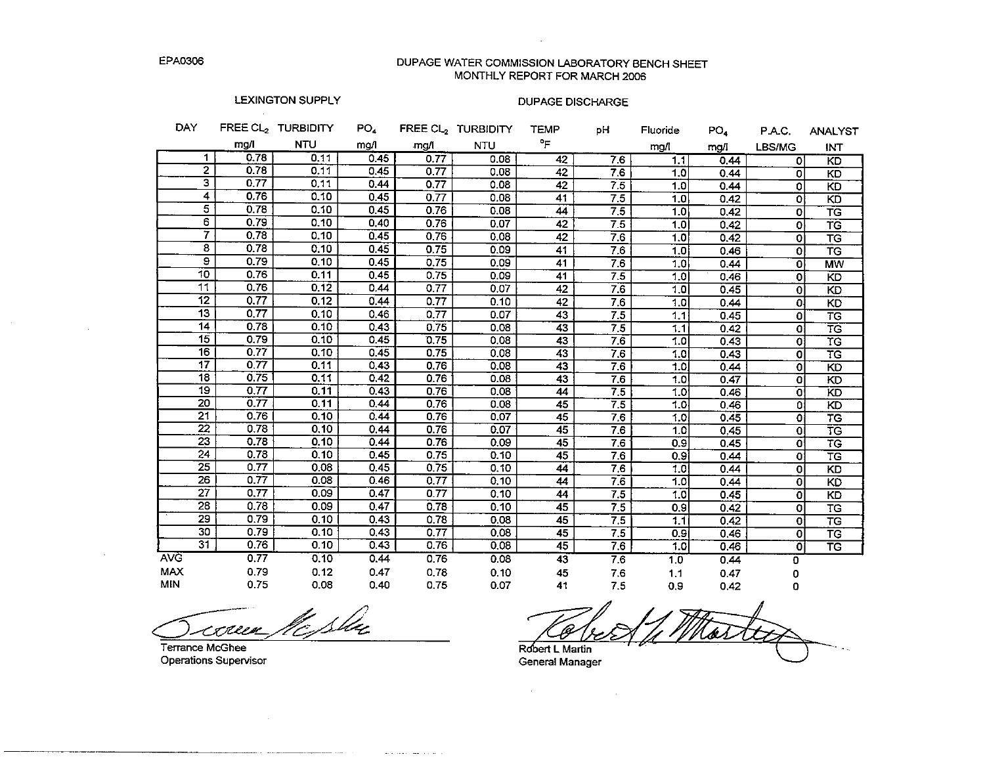DUPAGE WATER COMMISSION LABORATORY BENCH SHEET MONTHLY REPORT FOR MARCH 2006

 $\sim 10^7$ 

# **LEXINGTON SUPPLY**

 $\sim 10^{-11}$ 

#### **DUPAGE DISCHARGE**

| DAY.                    |      | FREE CL, TURBIDITY | PO <sub>4</sub> |      | FREE CL, TURBIDITY | <b>TEMP</b>     | pН  | Fluoride         | PO <sub>4</sub> | P.A.C.   | <b>ANALYST</b>           |
|-------------------------|------|--------------------|-----------------|------|--------------------|-----------------|-----|------------------|-----------------|----------|--------------------------|
|                         | mg/l | <b>NTU</b>         | mg/l            | mg/l | <b>NTU</b>         | °F              |     | mg/l             | mg/I            | LBS/MG   | INT                      |
| 1                       | 0.78 | 0.11               | 0.45            | 0.77 | 0.08               | 42              | 7.6 | 1.1              | 0.44            | ٥I       | KD                       |
| $\overline{2}$          | 0.78 | 0.11               | 0.45            | 0.77 | 0.08               | 42              | 7.6 | 1.0              | 0.44            | 0        | KD                       |
| $\overline{\mathbf{3}}$ | 0.77 | 0.11               | 0.44            | 0.77 | 0.08               | 42              | 7.5 | 1.0              | 0.44            | 0        | KD                       |
| 4                       | 0.76 | 0.10               | 0.45            | 0.77 | 0.08               | 41              | 7.5 | 1.0              | 0.42            | ٥I       | KD                       |
| $\overline{5}$          | 0.78 | 0.10               | 0.45            | 0.76 | 0.08               | 44              | 7.5 | 1.0              | 0.42            | o        | TG                       |
| 6                       | 0.79 | 0.10               | 0.40            | 0.76 | 0.07               | $\overline{2}$  | 7.5 | 1.0              | 0.42            | ol       | TG                       |
| 7                       | 0.78 | 0.10               | 0.45            | 0.76 | 0.08               | 42              | 7.6 | 1.0              | 0.42            | o        | $\overline{\text{TS}}$   |
| 8                       | 0.78 | 0.10               | 0.45            | 0.75 | 0.09               | 41              | 7.6 | 1.0              | 0.46            | ٥I       | $\overline{\text{TS}}$   |
| $\overline{9}$          | 0.79 | 0.10               | 0.45            | 0.75 | 0.09               | 41              | 7.6 | 1.0              | 0.44            | ٥I       | <b>MW</b>                |
| 10                      | 0.76 | 0.11               | 0.45            | 0.75 | 0.09               | 41              | 7.5 | 1.0              | 0.46            | ٥l       | <b>KD</b>                |
| 11                      | 0.76 | 0.12               | 0.44            | 0.77 | 0.07               | 42              | 7.6 | 1.0              | 0.45            | ٥I       | KD                       |
| $\overline{12}$         | 0.77 | 0.12               | 0.44            | 0.77 | 0.10               | 42              | 7.6 | 1.0              | 0.44            | 0.       | <b>KD</b>                |
| 13                      | 0.77 | 0.10               | 0.46            | 0.77 | 0.07               | 43              | 7.5 | 1.1              | 0.45            | ٥l       | $\overline{\texttt{TG}}$ |
| $\overline{14}$         | 0.78 | 0.10               | 0.43            | 0.75 | 0.08               | 43              | 7.5 | 1.1              | 0.42            | ٥l       | $\overline{\text{TS}}$   |
| 15                      | 0.79 | 0.10               | 0.45            | 0.75 | 0.08               | 43              | 7.6 | 1.0              | 0.43            | o        | TG                       |
| $\overline{16}$         | 0.77 | 0.10               | 0.45            | 0.75 | 0.08               | 43              | 76  | 1.0              | 0.43            | $\Omega$ | TG                       |
| 17                      | 0.77 | 0.11               | 0,43            | 0.76 | 0.08               | 43              | 7.6 | 1.0              | 0.44            | οI       | $\overline{KD}$          |
| 18                      | 0.75 | 0.11               | 0.42            | 0.76 | 0.08               | 43              | 7.6 | 1.0              | 0.47            | οI       | KD                       |
| $\overline{19}$         | 0.77 | 0.11               | 0.43            | 0.76 | 0.08               | 44              | 7.5 | 1.0              | 0.46            | o        | $\overline{K\mathsf{D}}$ |
| 20                      | 0.77 | 0.11               | 0.44            | 0.76 | 0.08               | 45              | 7.5 | 1.0              | 0.46            | ٥l       | $\overline{KD}$          |
| $\overline{21}$         | 0.76 | 0.10               | 0.44            | 0.76 | 0.07               | 45              | 7.6 | 1.0              | 0.45            | Οi       | $\overline{\tau G}$      |
| 22                      | 0.78 | 0.10               | 0.44            | 0.76 | 0.07               | $\overline{45}$ | 7.6 | 1.0              | 0.45            | 0        | TG                       |
| 23                      | 0.78 | 0.10               | 0.44            | 0.76 | 0.09               | $\overline{45}$ | 7.6 | 0.9              | 0.45            | o        | $\overline{\mathsf{TG}}$ |
| 24                      | 0.78 | 0.10               | 0.45            | 0.75 | 0.10               | 45              | 7.6 | 0.91             | 0.44            | O.       | TG                       |
| 25                      | 0.77 | 0.08               | 0.45            | 0.75 | 0.10               | 44              | 7.6 | 1.0              | 0.44            | ٥I       | KD                       |
| 26                      | 0.77 | 0.08               | 0.46            | 0.77 | 0.10               | 44              | 76  | 1.0              | 0.44            | οI       | $\overline{KD}$          |
| $\overline{27}$         | 0.77 | 0.09               | 0.47            | 0.77 | 0.10               | $\overline{44}$ | 7.5 | 1.0              | 0.45            | O        | K <sub>D</sub>           |
| $\overline{28}$         | 0.78 | 0.09               | 0.47            | 0.78 | 0.10               | $\overline{45}$ | 7.5 | 0.9              | 0.42            | ol       | TG                       |
| $\overline{29}$         | 0.79 | 0.10               | 0.43            | 0.78 | 0.08               | 45              | 7.5 | 1.1              | 0.42            | ٥l       | <b>TG</b>                |
| 30                      | 0.79 | 0.10               | 0.43            | 0.77 | 0.08               | 45              | 7.5 | 0.9 <sub>l</sub> | 0.46            | ٥l       | $\overline{\mathsf{TG}}$ |
| $\overline{31}$         | 0.76 | 0.10               | 0.43            | 0.76 | 0.08               | 45              | 76  | 1.0              | 0.46            | Oi       | $\overline{\text{TS}}$   |
| <b>AVG</b>              | 0.77 | 0.10               | 0.44            | 0.76 | 0.08               | 43              | 7.6 | 10               | 0.44            | 0        |                          |
| <b>MAX</b>              | 0.79 | 0.12               | 0.47            | 0.78 | 0.10               | 45              | 7.6 | 1.1              | 0.47            | 0        |                          |
| MIN                     | 0.75 | 0.08               | 0.40            | 0.75 | 0.07               | 41              | 7.5 | 0.9              | 0.42            | 0        |                          |

te Sla <u>Reex</u>

The contract the contract

Terrance McGhee Operations Supervisor

 $\bar{\phantom{a}}$  .

Robert L Martin

General Manager

 $\mathcal{O}(2\pi\log n)$  . The second state  $\mathcal{O}(n)$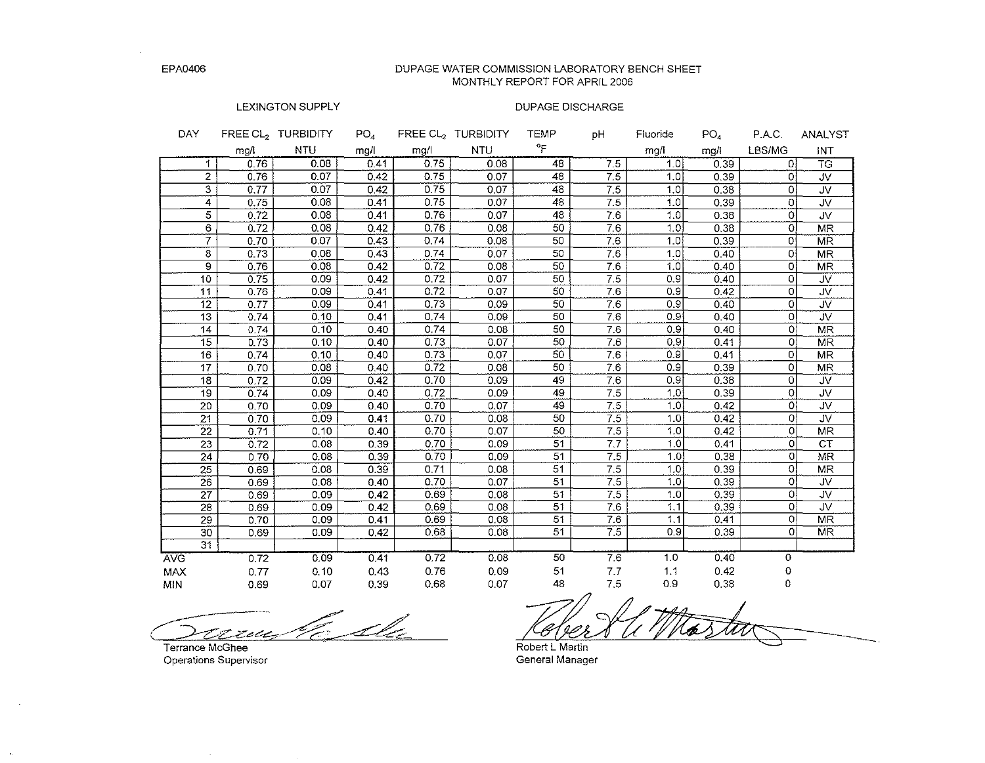DUPAGE WATER COMMISSION LABORATORY BENCH SHEET MONTHLY REPORT FOR APRIL 2006

#### LEXINGTON SUPPLY

#### DUPAGE DISCHARGE

| DAY               |      | FREE CL <sub>2</sub> TURBIDITY | PO <sub>a</sub> |      | <b>FREE CL, TURBIDITY</b> | TEMP | рH  | Fluoride         | PO <sub>A</sub> | PAC.           | <b>ANALYST</b>          |
|-------------------|------|--------------------------------|-----------------|------|---------------------------|------|-----|------------------|-----------------|----------------|-------------------------|
|                   | mg/l | <b>NTU</b>                     | mg/l            | mg/l | NTU                       | °F   |     | mg/l             | mg/l            | LBS/MG         | INT                     |
| 1.                | 0.76 | 0.08                           | 0.41            | 0.75 | 0.08                      | 48   | 7.5 | 1.0              | 0.39            | Ωł             | <b>TG</b>               |
| $\mathbf{2}$      | 0.76 | 0.07                           | 0.42            | 0.75 | 0.07                      | 48   | 7.5 | 1,0              | 0.39            | 0              | <b>JV</b>               |
| 3                 | 0.77 | 0.07                           | 0.42            | 0.75 | 0.07                      | 48   | 7.5 | 1.0              | 0.38            | $\Omega$       | <b>JV</b>               |
| 4                 | 0.75 | 0.08                           | 0.41            | 0.75 | 0.07                      | 48   | 7.5 | 1.0              | 0.39            | $\Omega$       | JV.                     |
| 5                 | 0.72 | 0.08                           | 0.41            | 0.76 | 0.07                      | 48   | 7.6 | 1,0              | 0.38            | 0              | <b>JV</b>               |
| 6                 | 0.72 | 0.08                           | 0.42            | 0.76 | 0.08                      | 50   | 7.6 | 1.01             | 0.38            | 0l             | <b>MR</b>               |
| $\overline{\tau}$ | 0.70 | 0.07                           | 0.43            | 0.74 | 0.08                      | 50   | 7.6 | 1.0 <sub>1</sub> | 0.39            | $\Omega$       | <b>MR</b>               |
| 8                 | 0.73 | 0.08                           | 0.43            | 0.74 | 0.07                      | 50   | 76  | 1.0              | 0.40            | 0l             | <b>MR</b>               |
| 9                 | 0.76 | 0.08                           | 0.42            | 0.72 | 0.08                      | 50   | 7.6 | 1.0              | 0.40            | $\circ$        | <b>MR</b>               |
| 10                | 0.75 | 0.09                           | 0.42            | 0.72 | 0.07                      | 50   | 7.5 | 0.9              | 0.40            | 0              | JV.                     |
| 11                | 0.76 | 0.09                           | 0.41            | 0.72 | 0.07                      | 50   | 76  | 0.9              | 0.42            | 0              | $\overline{\mathsf{w}}$ |
| 12                | 0.77 | 0.09                           | 0.41            | 0.73 | 0.09                      | 50   | 7.6 | 0.9              | 0.40            | $\circ$        | JV.                     |
| 13                | 0.74 | 0.10                           | 0.41            | 0.74 | 0.09                      | 50   | 7.6 | 0.9 <sup>1</sup> | 0.40            | $\Omega$       | ÜV                      |
| 14                | 0.74 | 0.10                           | 0.40            | 0.74 | 0.08                      | 50   | 7.6 | 0.9              | 0.40            | $\Omega$       | <b>MR</b>               |
| 15                | 0.73 | 0.10                           | 0.40            | 0.73 | 0.07                      | 50   | 7.6 | 0.9              | 0.41            | $\mathbf{O}$   | <b>MR</b>               |
| 16                | 0.74 | 0.10                           | 0.40            | 0.73 | 0.07                      | 50   | 7.6 | 0.9              | 0.41            | $\Omega$       | <b>MR</b>               |
| 17                | 0.70 | 0.08                           | 0.40            | 0.72 | 0.08                      | 50   | 7.6 | 0.9              | 0.39            | 0              | <b>MR</b>               |
| 18                | 0.72 | 0.09                           | 0.42            | 0.70 | 0.09                      | 49   | 7.6 | 0.9              | 0.38            | 0              | JV.                     |
| 19                | 0.74 | 0.09                           | 0.40            | 0.72 | 0.09                      | 49   | 7.5 | 1.0              | 0.39            | $\circ$        | <b>JV</b>               |
| 20                | 0.70 | 0.09                           | 0.40            | 0.70 | 0.07                      | 49   | 7.5 | 1.0 <sup>1</sup> | 0.42            | 0              | JV.                     |
| $\overline{21}$   | 0.70 | 0.09                           | 0.41            | 0.70 | 0.08                      | 50   | 7.5 | 1.0              | 0.42            | 0              | JV.                     |
| $\overline{22}$   | 0.71 | 0.10                           | 0.40            | 0.70 | 0.07                      | 50   | 7.5 | 1.0              | 0.42            | $\Omega$       | MR                      |
| $\overline{23}$   | 0.72 | 0.08                           | 0.39            | 0.70 | 0.09                      | 51   | 7.7 | 1.0              | 0.41            | $\circ$        | <b>CT</b>               |
| 24                | 0.70 | 0.08                           | 0.39            | 0.70 | 0.09                      | 51   | 7.5 | 1.0              | 0.38            | $\Omega$       | MR.                     |
| 25                | 0.69 | 0.08                           | 0.39            | 0.71 | 0.08                      | 51   | 7.5 | 1.0 <sub>1</sub> | 0.39            | $\circ$        | MR                      |
| 26                | 0.69 | 0.08                           | 0.40            | 0.70 | 0.07                      | 51   | 7.5 | 1.0              | 0.39            | $\circ$        | <b>JV</b>               |
| 27                | 0.69 | 0.09                           | 0.42            | 0.69 | 0.08                      | 51   | 7.5 | 1.0              | 0.39            | 0              | <b>JV</b>               |
| 28                | 0.69 | 0.09                           | 0.42            | 0.69 | 0.08                      | 51   | 7.6 | 1.1              | 0.39            | $\Omega$       | JV.                     |
| 29                | 0.70 | 0.09                           | 0.41            | 0.69 | 0.08                      | 51   | 7.6 | 1.1<br>0.9       | 0.41            | 0I<br>$\Omega$ | <b>MR</b>               |
| 30                | 0.69 | 0.09                           | 0.42            | 0.68 | 0.08                      | 51   | 7.5 |                  | 0.39            |                | <b>MR</b>               |
| $\overline{31}$   |      |                                |                 |      |                           |      |     |                  |                 |                |                         |
| <b>AVG</b>        | 0.72 | 0.09                           | 0.41            | 0.72 | 0.08                      | 50   | 7.6 | 1.0              | 0.40            | 0              |                         |
| <b>MAX</b>        | 0.77 | 0.10                           | 0.43            | 0.76 | 0.09                      | 51   | 7.7 | 1.1              | 0.42            | 0              |                         |
| MIN               | 0.69 | 0.07                           | 0.39            | 0.68 | 0.07                      | 48   | 7.5 | 0.9              | 0.38            | 0              |                         |

E du سيصص

**Terrance McGhee Operations Supervisor** 

 $\sim$ 

 $\sim$ 

 $\mathcal{L}_{\mathcal{A}}$ 

Keleer Kleer Thas too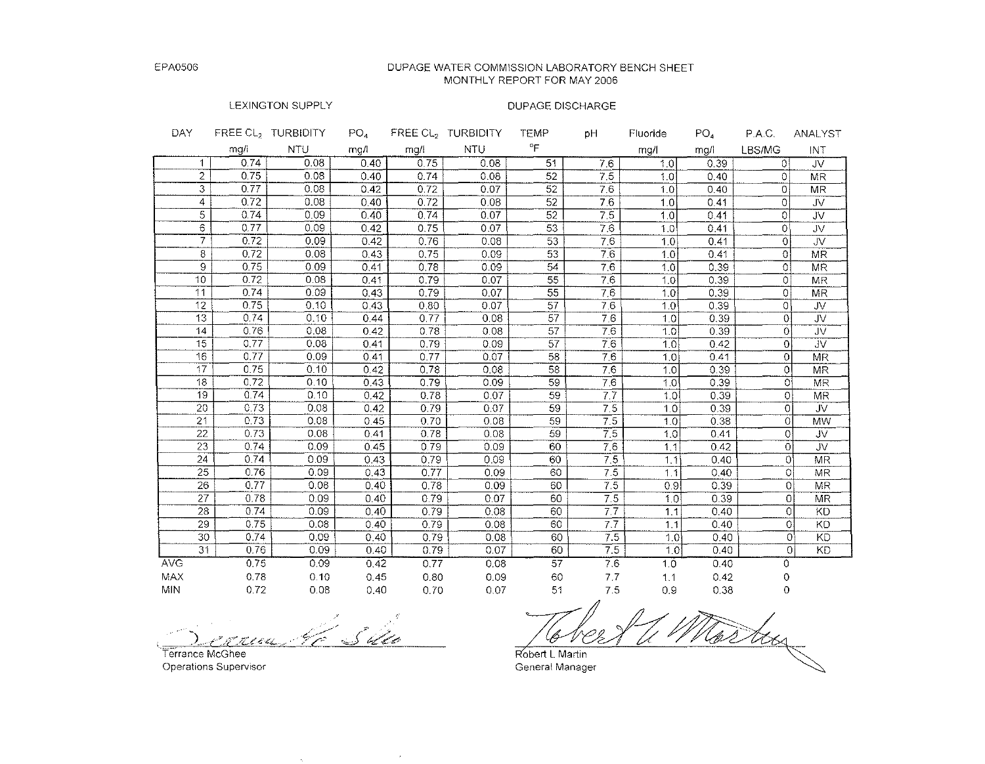#### DUPAGE WATER COMMISSION LABORATORY BENCH SHEET MONTHLY REPORT FOR MAY 2006

# LEXINGTON SUPPLY

| DAY               |      | FREE CL <sub>2</sub> TURBIDITY | PO <sub>4</sub> |      | FREE CL <sub>2</sub> TURBIDITY | TEMP            | pH               | Fluoride | PO <sub>4</sub> | P.A.C.         | ANALYST   |
|-------------------|------|--------------------------------|-----------------|------|--------------------------------|-----------------|------------------|----------|-----------------|----------------|-----------|
|                   | mg/i | <b>NTU</b>                     | mg/l            | mg/l | NTU                            | $^{\circ}$ F    |                  | mg/l     | mg/l            | LBS/MG         | INT       |
| $\mathbf 1$       | 0.74 | 0.08                           | 0.40            | 0.75 | 0.08                           | 51              | 7.6              | 1.0      | 0.39            | ΩI             | JV        |
| $\overline{2}$    | 0.75 | 0.08                           | 0.40            | 0.74 | 0.08                           | 52              | 7.5              | 1.0      | 0.40            | $\Omega$       | <b>MR</b> |
| 3                 | 0.77 | 0.08                           | 0.42            | 0.72 | 0.07                           | 52              | 7.6              | 1.0      | 0.40            | 0              | <b>MR</b> |
| $\overline{4}$    | 0.72 | 0.08                           | 0.40            | 0.72 | 0.08                           | 52              | 7.6              | 1.0      | 0.41            | 0              | <b>JV</b> |
| 5                 | 0.74 | 0.09                           | 0.40            | 0.74 | 0.07                           | 52              | $\overline{7.5}$ | 1.0      | 0.41            | 0              | <b>JV</b> |
| 6                 | 0.77 | 0.09                           | 0.42            | 0.75 | 0.07                           | 53              | 7.6              | 1.0      | 0.41            | O.             | JV.       |
| $\overline{\tau}$ | 0.72 | 0.09                           | 0.42            | 0.76 | 0.08                           | 53              | 7.6              | 1.0      | 0.41            | 0              | JV        |
| 8                 | 0.72 | 0.08                           | 0.43            | 0.75 | 0.09                           | 53              | 7.6              | 1.0      | 0.41            | $\Omega$       | <b>MR</b> |
| 9.                | 0.75 | 0.09                           | 0.41            | 0.78 | 0.09                           | 54              | 7.6              | 1.0      | 0.39            | 0              | <b>MR</b> |
| 10                | 0.72 | 0.08                           | 0.41            | 0.79 | 0.07                           | 55              | 7.6              | 1.0      | 0.39            | $\circ$        | <b>MR</b> |
| 11                | 0.74 | 0.09                           | 0.43            | 0.79 | 0.07                           | $\overline{55}$ | 7.6              | 1.0      | 0.39            | 01             | <b>MR</b> |
| 12                | 0.75 | 0.10                           | 0.43            | 0.80 | 0.07                           | 57              | 7.6              | 1.0      | 0.39            | 0              | JV.       |
| 13                | 0.74 | 0.10                           | 0.44            | 0.77 | 0.08                           | $\overline{57}$ | 7.6              | 1.0      | 0.39            | ΩI             | JV.       |
| 14                | 0.76 | 0.08                           | 0.42            | 0.78 | 0.08                           | 57              | 7.6              | 1.0      | 0.39            | $\Omega$       | JV.       |
| 15                | 0.77 | 0.08                           | 0.41            | 0.79 | 0.09                           | 57              | 7.6              | 1.0      | 0.42            | $\Omega$       | <b>JV</b> |
| 16                | 0.77 | 0.09                           | 0.41            | 0.77 | 0.07                           | 58              | 7.6              | 1.0      | 0.41            | $\Omega$       | <b>MR</b> |
| 17                | 0.75 | 0.10                           | 0.42            | 0.78 | 0.08                           | 58              | 7.6              | 1.0      | 0.39            | 0              | <b>MR</b> |
| 18                | 0.72 | 0.10                           | 0.43            | 0.79 | 0.09                           | 59              | 76               | 1.0      | 0.39            | 0              | <b>MR</b> |
| 19                | 0.74 | 0.10                           | 0.42            | 0.78 | 0.07                           | 59              | $\overline{77}$  | 1.0      | 0.39            | 0              | <b>MR</b> |
| 20                | 0.73 | 0.08                           | 0.42            | 0.79 | 0.07                           | 59              | 7.5              | 1,0      | 0.39            | $\Omega$       | JV.       |
| 21                | 0.73 | 0.08                           | 0.45            | 0.70 | 0.08                           | 59              | $\overline{7.5}$ | 1.0      | 0.38            | 0              | <b>MW</b> |
| 22                | 0.73 | 0.08                           | 0.41            | 0.78 | 0.08                           | 59              | $\overline{7.5}$ | 1.0      | 0.41            | 0              | JV.       |
| 23                | 0.74 | 0.09                           | 0.45            | 0.79 | 0.09                           | 60              | 7.6              | 1.1      | 0.42            | $\overline{0}$ | JV.       |
| 24                | 0.74 | 0.09                           | 0.43            | 0.79 | 0.09                           | 60              | $\overline{7,5}$ | 1.1      | 0.40            | $\Omega$       | <b>MR</b> |
| 25                | 0.76 | 0.09                           | 0.43            | 0.77 | 0.09                           | 60              | $\overline{7.5}$ | 1.1      | 0.40            | 0              | <b>MR</b> |
| 26                | 0.77 | 0.08                           | 0.40            | 0.78 | 0.09                           | 60              | 7.5              | 0.9      | 0.39            | $\Omega$       | <b>MR</b> |
| 27                | 0.78 | 0.09                           | 0.40            | 0.79 | 0.07                           | 60              | $\overline{7.5}$ | 1,0      | 0.39            | 0              | <b>MR</b> |
| 23                | 0.74 | 0.09                           | 0.40            | 0.79 | 0.08                           | 60              | 7.7              | 1.1      | 0.40            | $\overline{0}$ | KD        |
| 29                | 0.75 | 0.08                           | 0.40            | 0.79 | 0.08                           | 60              | 7.7              | 1.1      | 0.40            | O.             | <b>KD</b> |
| 30                | 0.74 | 0.09                           | 0.40            | 0.79 | 0.08                           | 60              | 7.5              | 1.0      | 0.40            | ٥۱             | <b>KD</b> |
| 31                | 0.76 | 0.09                           | 0.40            | 0.79 | 0.07                           | 60              | 7.5              | 1.0      | 0.40            | Ωİ             | KD        |
| <b>AVG</b>        | 0.75 | 0.09                           | 0.42            | 0.77 | 0.08                           | 57              | $\overline{7.6}$ | 1.0      | 0.40            | 0              |           |
| MAX               | 0.78 | 0.10                           | 0.45            | 0.80 | 0.09                           | 60              | 7.7              | 1.1      | 0.42            | 0              |           |
| MIN.              | 0.72 | 0.08                           | 0.40            | 0.70 | 0.07                           | 51              | 7.5              | 0.9      | 0.38            | 0              |           |

<u>S 400</u> يتبيميه  $\sim$ F. L. L. Lan

Terrance McGhee Operations Supervisor

.<br>GL Robert L Martin General Manager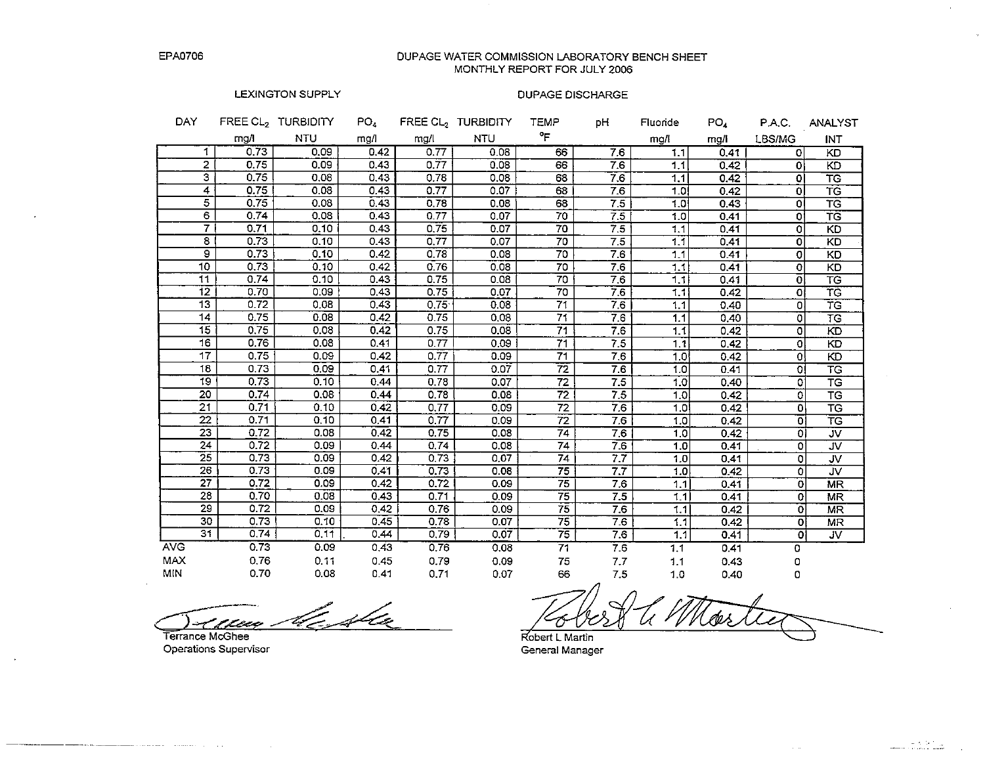DUPAGE WATER COMMISSION LABORATORY BENCH SHEET MONTHLY REPORT FOR JULY 2006

#### **LEXINGTON SUPPLY**

#### **DUPAGE DISCHARGE**

| DAY             |                         | FREE CL <sub>2</sub> TURBIDITY | PO <sub>4</sub> |      | FREE CL <sub>2</sub> TURBIDITY | <b>TEMP</b>     | pН              | Fluoride         | PO <sub>4</sub> | P.A.C.                  | <b>ANALYST</b>                   |
|-----------------|-------------------------|--------------------------------|-----------------|------|--------------------------------|-----------------|-----------------|------------------|-----------------|-------------------------|----------------------------------|
|                 | mg/l                    | <b>NTU</b>                     | mg/l            | mg/l | <b>NTU</b>                     | °F              |                 | mg/l             | mg/i            | LBS/MG                  | INT                              |
|                 | 0.73<br>$\mathbf 1$     | 0.09                           | 0.42            | 0.77 | 0.08                           | 66              | 7.6             | 1.1              | 0.41            | $\Omega$                | KD                               |
|                 | $\overline{2}$<br>0.75  | 0.09                           | 0.43            | 0.77 | 0.08                           | 66              | 7.6             | 1.1              | 0.42            | $\Omega$                | KD                               |
|                 | з.<br>0.75              | 0.08                           | 0.43            | 0.78 | 0.08                           | 68              | 7.6             | 1,1              | 0.42            | o                       | <b>TG</b>                        |
|                 | 0.75<br>4               | 0.08                           | 0.43            | 0.77 | 0.07                           | 68              | 7.6             | 1.0              | 0.42            | $\Omega$                | <b>TG</b>                        |
|                 | 5<br>0.75               | 0.08                           | 0.43            | 0.78 | 0.08                           | 68              | 75              | 1.0              | 0.43            | o                       | TG                               |
|                 | $\overline{6}$<br>0.74  | 0.08                           | 0.43            | 0.77 | 0.07                           | 70              | 7.5             | 1.0              | 0.41            | $\circ$                 | TG                               |
|                 | $\overline{7}$<br>0.71  | 0.10                           | 0.43            | 0.75 | 0.07                           | 70              | 7.5             | 1.1              | 0.41            | 0                       | <b>KD</b>                        |
|                 | 8<br>0.73               | 0.10                           | 0.43            | 0.77 | 0.07                           | 70              | 7.5             | 1.1              | 0.41            | $\circ$                 | <b>KD</b>                        |
|                 | $\overline{9}$<br>0.73  | 0.10                           | 0.42            | 0.78 | 0.08                           | 70              | 7.6             | 1.1              | 0.41            | $\overline{0}$          | KD                               |
| 10 <sub>1</sub> | 0.73                    | 0.10                           | 0.42            | 0.76 | 0.08                           | 70              | 7.6             | 1.1              | 0.41            | $\mathbf{o}$            | KD                               |
| 11              | 0.74                    | 0.10                           | 0.43            | 0.75 | 0.08                           | 70              | 7.6             | 1.1              | 0.41            | ol                      | $\overline{\mathsf{TG}}$         |
| 12              | 0.70                    | 0.09                           | 0.43            | 0.75 | 0.07                           | 70              | 7.6             | 1,1              | 0.42            | οl                      | ŦĠ                               |
| 13              | 0.72                    | 0.08                           | 0.43            | 0.75 | 0.08                           | $\overline{71}$ | 76              | 1.1              | 0.40            | 0                       | TG                               |
| 14              | 0.75                    | 0.08                           | 0.42            | 0.75 | 0.08                           | 71              | 7.6             | 1.1              | 0.40            | ٥I                      | TG                               |
| $\overline{15}$ | 0.75                    | 0.08                           | 0.42            | 0.75 | 0.08                           | 71              | 7.6             | 1,1              | 0.42            | o                       | KD                               |
| 16              | 0.76                    | 0.08                           | 0.41            | 0.77 | 0.09                           | 71              | 75              | 1,1              | 0.42            | ٥l                      | KD                               |
| $\overline{17}$ | 0.75                    | 0.09                           | 0.42            | 0.77 | 0.09                           | $\overline{71}$ | 7.6             | 1.0 <sup>1</sup> | 0.42            | 0l                      | KD                               |
| 18              | 0.73                    | 0.09                           | 0.41            | 0.77 | 0.07                           | 72              | 7.6             | 1.0              | 0.41            | οl                      | TG                               |
| 19              | 0.73                    | 0.10                           | 0.44            | 0.78 | 0.07                           | $\overline{72}$ | 7.5             | 1.0              | 0.40            | ٥l                      | T G                              |
| 20              | 0.74                    | 0.08                           | 0.44            | 0.78 | 0.08                           | $\overline{72}$ | 7.5             | 1.0              | 0.42            | ol                      | <b>TG</b>                        |
| 21              | 0.71                    | 0.10                           | 0.42            | 0.77 | 0.09                           | 72              | 7.6             | 1.0              | 0.42            | ٥l                      | $\overline{\text{\sf \tiny TG}}$ |
| $\overline{22}$ | 0.71                    | 0.10                           | 0.41            | 0.77 | 0.09                           | $\overline{72}$ | 7.6             | 1.0              | 0.42            | οl                      | $\overline{\text{TS}}$           |
| 23              | 0.72                    | 0.08                           | 0.42            | 0.75 | 0.08                           | $\overline{74}$ | 76              | 1.0              | 0.42            | $\overline{\mathbf{C}}$ | $\overline{\mathsf{v}}$          |
| 24              | 0.72                    | 0.09                           | 0.44            | 0.74 | 0.08                           | $\overline{74}$ | 76              | 1.0              | 0.41            | o                       | ${\rm JV}$                       |
| 25              | 0.73                    | 0.09                           | 0.42            | 0.73 | 0.07                           | 74              | $\overline{77}$ | 1,0              | 0,41            | ٥                       | JV.                              |
| $\overline{26}$ | 0.73                    | 0.09                           | 0.41            | 0.73 | 0.08                           | 75              | 77              | 1.0              | 0.42            | 0                       | JV                               |
| $\overline{27}$ | 0.72                    | 0.09                           | 0.42            | 0.72 | 0.09                           | 75              | 7.6             | 1.1              | 0.41            | $\mathbf 0$             | <b>MR</b>                        |
|                 | 28<br>0.70              | 0.08                           | 0.43            | 0.71 | 0.09                           | 75              | 7.5             | 1.1              | 0.41            | $\Omega$                | MR                               |
|                 | 29<br>0.72              | 0.09                           | 0.42            | 0.76 | 0.09                           | 75              | 7.6             | 1.1              | 0.42            | $\Omega$                | <b>MR</b>                        |
|                 | 30<br>0.73              | 0.10                           | 0.45            | 0.78 | 0.07                           | 75              | 7.6             | 1.1              | 0.42            | $\Omega$                | MR                               |
|                 | $\overline{31}$<br>0.74 | 0.11                           | 0.44            | 0.79 | 0.07                           | 75              | 7.6             | 1,1              | 0.41            | οl                      | $\overline{\mathsf{z}}$          |
| <b>AVG</b>      | 0.73                    | 0.09                           | 0.43            | 0.76 | 0.08                           | 71              | 76              | 1.1              | 0.41            | 0                       |                                  |
| MAX             | 0.76                    | 0.11                           | 0.45            | 0.79 | 0.09                           | 75              | 7.7             | 1.1              | 0.43            | 0                       |                                  |
| MIN             | 0.70                    | 0.08                           | 0.41            | 0.71 | 0.07                           | 66              | 7.5             | 1.0              | 0.40            | o                       |                                  |

<u>nua ble sta</u>

Terrance McGhee Operations Supervisor

le Monte Ο

المكافحات

Robert L Martin General Manager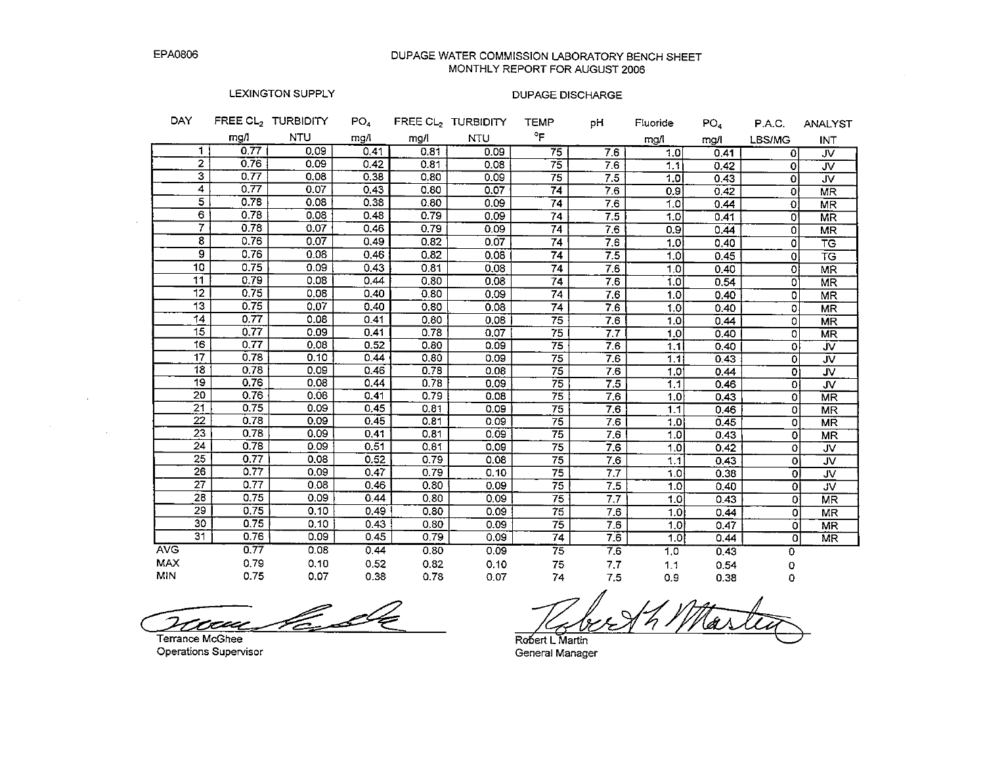$\sim$ 

 $\sim$ 

## DUPAGE WATER COMMISSION LABORATORY BENCH SHEET MONTHLY REPORT FOR AUGUST 2006

## LEXINGTON SUPPLY

| DAY             |      | FREE CL <sub>2</sub> TURBIDITY | $PO_{4}$ |      | FREE $CL2$ TURBIDITY | <b>TEMP</b>     | рH  | Fluoride       | PO <sub>4</sub> | P.A.C.        | <b>ANALYST</b>           |
|-----------------|------|--------------------------------|----------|------|----------------------|-----------------|-----|----------------|-----------------|---------------|--------------------------|
|                 | mg/l | <b>NTU</b>                     | mg/l     | mg/l | <b>NTU</b>           | °F              |     | mg/l           | mg/l            | <b>LBS/MG</b> | <b>INT</b>               |
| $\mathbf{1}$    | 0.77 | 0.09                           | 0.41     | 0.81 | 0.09                 | $\overline{75}$ | 7.6 | 1.0            | 0.41            | 0             | JV                       |
| $\overline{2}$  | 0.76 | 0.09                           | 0.42     | 0.81 | 0.08                 | 75              | 7.6 | 1.1            | 0.42            | 0             | <b>JV</b>                |
| 3               | 0.77 | 0.08                           | 0.38     | 0.80 | 0.09                 | 75              | 7.5 | 1.0            | 0.43            | $\mathbf 0$   | JV.                      |
| 4               | 0.77 | 0.07                           | 0.43     | 0.80 | 0.07                 | 74              | 7.6 | 0.9            | 0.42            | $\Omega$      | <b>MR</b>                |
| $\overline{5}$  | 0.78 | 0.08                           | 0.38     | 0.80 | 0.09                 | $\overline{74}$ | 7.6 | 1.0            | 0.44            | οl            | <b>MR</b>                |
| 6               | 0.78 | 0.08                           | 0.48     | 0.79 | 0.09                 | 74              | 7.5 | 1,0            | 0.41            | ٥I            | <b>MR</b>                |
| 7               | 0.78 | 0.07                           | 0.46     | 0.79 | 0.09                 | 74              | 7.6 | 0.9            | 0.44            | ٥l            | <b>MR</b>                |
| 8               | 0.76 | 0.07                           | 0.49     | 0.82 | 0.07                 | 74              | 7.6 | 1.0            | 0.40            | 0l            | <b>TG</b>                |
| $\overline{9}$  | 0.76 | 0.08                           | 0.46     | 0.82 | 0.08                 | 74              | 7.5 | 1.0            | 0.45            | 0l            | TG                       |
| 10              | 0.75 | 0.09                           | 0.43     | 0.81 | 0.08                 | $\overline{74}$ | 7.6 | 1.0            | 0.40            | οl            | <b>MR</b>                |
| 11              | 0.79 | 0.08                           | 0.44     | 0.80 | 0.08                 | 74              | 7.6 | 1.0            | 0.54            | ٥l            | <b>MR</b>                |
| 12              | 0.75 | 0.08                           | 0.40     | 0.80 | 0.09                 | 74              | 7.6 | 1.0            | 0.40            | o             | <b>MR</b>                |
| 13              | 0.75 | 0.07                           | 0.40     | 0.80 | 0.08                 | 74              | 7.6 | 1.0            | 0.40            | O.            | <b>MR</b>                |
| 14              | 0.77 | 0.08                           | 0.41     | 0.80 | 0.08                 | $\overline{75}$ | 7.6 | 1.0            | 0.44            | 0             | <b>MR</b>                |
| $\overline{15}$ | 0.77 | 0.09                           | 0.41     | 0.78 | 0.07                 | 75              | 7.7 | 1.0            | 0.40            | 0             | <b>MR</b>                |
| 16              | 0.77 | 0.08                           | 0.52     | 0.80 | 0.09                 | 75              | 7.6 | 1.1            | 0.40            | 0             | <b>JV</b>                |
| $\overline{17}$ | 0.78 | 0.10                           | 0.44     | 0.80 | 0.09                 | 75              | 7.6 | 1.11           | 0.43            | 0             | JV                       |
| $\overline{18}$ | 0.78 | 0.09                           | 0.46     | 0.78 | 0.08                 | $\overline{75}$ | 7.6 | 1.0            | 0.44            | $\mathbf{O}$  | JV.                      |
| 19              | 0.76 | 0.08                           | 0.44     | 0.78 | 0.09                 | 75              | 7.5 | 1 <sub>1</sub> | 0.46            | $\mathbf{O}$  | $\overline{\mathsf{M}}$  |
| 20              | 0.76 | 0.08                           | 0.41     | 0.79 | 0.08                 | 75              | 7.6 | 1.0            | 0.43            | O.            | <b>MR</b>                |
| 21              | 0.75 | 0.09                           | 0.45     | 0.81 | 0.09                 | 75              | 7.6 | 1.1            | 0.46            | 0             | <b>MR</b>                |
| 22              | 0.78 | 0.09                           | 0.45     | 0.81 | 0.09                 | 75              | 7.6 | 1.0            | 0.45            | 0             | <b>MR</b>                |
| $\overline{23}$ | 0.78 | 0.09                           | 0,41     | 0.81 | 0.09                 | $\overline{75}$ | 7.6 | 1.0            | 0.43            | 0             | <b>MR</b>                |
| 24              | 0.78 | 0.09                           | 0.51     | 0.81 | 0.09                 | $\overline{75}$ | 7.6 | 1.0            | 0.42            | 0             | JV.                      |
| 25              | 0.77 | 0.08                           | 0.52     | 0.79 | 0.08                 | 75              | 7.6 | 1.1            | 0.43            | o             | $\overline{\mathsf{v}}$  |
| 26              | 0.77 | 0.09                           | 0.47     | 0.79 | 0.10                 | 75              | 7.7 | 1.0            | 0.38            | οI            | $\overline{\mathcal{N}}$ |
| $\overline{27}$ | 0.77 | 0.08                           | 0.46     | 0.80 | 0.09                 | $\overline{75}$ | 7.5 | 1.0            | 0.40            | οI            | <b>JV</b>                |
| 28              | 0.75 | 0.09                           | 0.44     | 0.80 | 0.09                 | 75              | 7.7 | 1.0            | 0.43            | O.            | <b>MR</b>                |
| 29              | 0.75 | 0.10                           | 0.49     | 0.80 | 0.09                 | 75              | 7.6 | 1.0            | 0.44            | 0             | <b>MR</b>                |
| 30              | 0.75 | 0.10                           | 0.43     | 0.80 | 0.09                 | 75              | 7.6 | 1.0            | 0.47            | 0             | <b>MR</b>                |
| 31              | 0.76 | 0.09                           | 0.45     | 0.79 | 0.09                 | $\overline{74}$ | 7.6 | 1.0            | 0.44            | 0             | <b>MR</b>                |
| <b>AVG</b>      | 0.77 | 0.08                           | 0.44     | 0.80 | 0.09                 | 75              | 7.6 | 1,0            | 0.43            | o             |                          |
| <b>MAX</b>      | 0.79 | 0.10                           | 0.52     | 0.82 | 0.10                 | 75              | 7,7 | 1.1            | 0.54            | 0             |                          |
| <b>MIN</b>      | 0.75 | 0.07                           | 0.38     | 0.78 | 0.07                 | 74              | 7.5 | 0.9            | 0.38            | 0             |                          |

<u>Ka</u>de raa

Terrance McGhee Operations Supervisor

Robert L Martin General Manager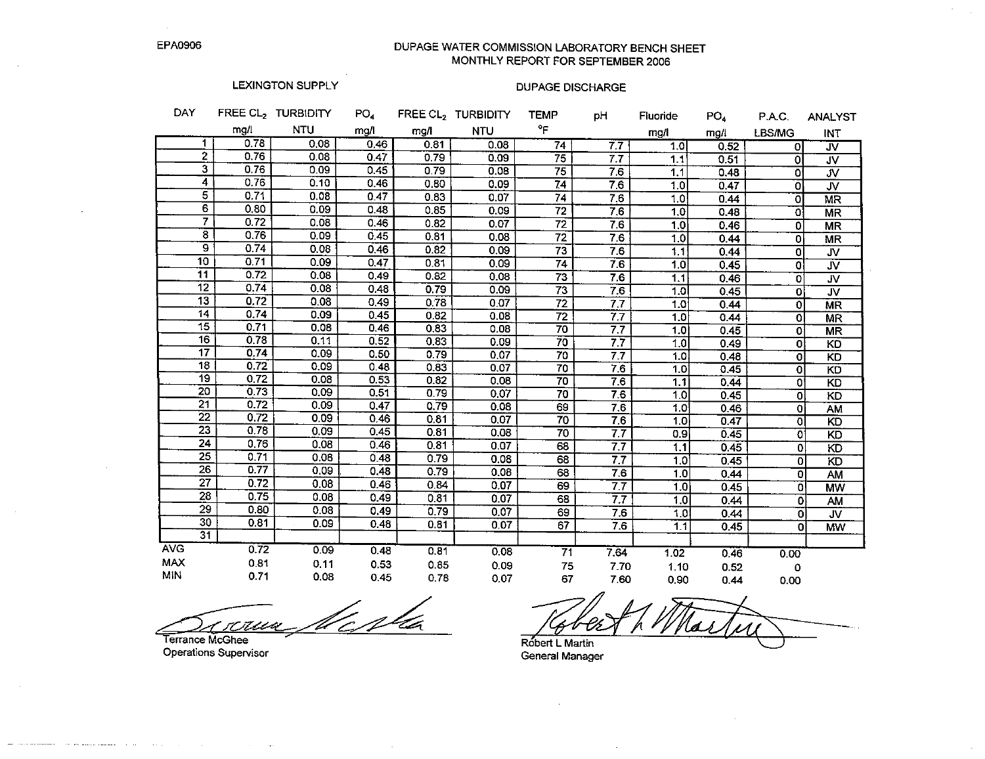DUPAGE WATER COMMISSION LABORATORY BENCH SHEET MONTHLY REPORT FOR SEPTEMBER 2006

# LEXINGTON SUPPLY

# **DUPAGE DISCHARGE**

| DAY             |      | FREE CL <sub>2</sub> TURBIDITY | PO <sub>4</sub> |      | FREE CL2 TURBIDITY | <b>TEMP</b>     | рH               | Fluoride | PO <sub>4</sub> | P.A.C.         | <b>ANALYST</b>          |
|-----------------|------|--------------------------------|-----------------|------|--------------------|-----------------|------------------|----------|-----------------|----------------|-------------------------|
|                 | mg/l | <b>NTU</b>                     | mg/l            | mg/l | <b>NTU</b>         | °F              |                  | mg/l     | mg/l            | LBS/MG         | INT                     |
| 1.              | 0.78 | 0.08                           | 0.46            | 0.81 | 0.08               | $\overline{74}$ | 7.7              | 1.0      | 0.52            | οI             | $\overline{\mathsf{w}}$ |
| $\mathbf{2}$    | 0.76 | 0.08                           | 0.47            | 0.79 | 0.09               | 75              | 7.7              | 1.1      | 0.51            | 0              | <b>JV</b>               |
| 3               | 0.76 | 0.09                           | 0.45            | 0.79 | 0.08               | 75              | 7.6              | 1.1      | 0.48            | ٥l             | JV.                     |
| 4               | 0.76 | 0.10                           | 0.46            | 0.80 | 0.09               | $\overline{74}$ | 7.6              | 1.0      | 0.47            | $\Omega$       | <b>JV</b>               |
| $\overline{5}$  | 0.71 | 0.08                           | 0.47            | 0.83 | 0.07               | 74              | 7.6              | 1.0      | 0.44            | οI             | MR                      |
| $\overline{6}$  | 0.80 | 0.09                           | 0.48            | 0.85 | 0.09               | 72              | 7.6              | 1.0      | 0.48            | οI             | <b>MR</b>               |
| $\overline{7}$  | 0.72 | 0.08                           | 0.46            | 0.82 | 0.07               | $\overline{72}$ | 7.6              | 1.0      | 0.46            | O              | MR                      |
| $\bf{8}$        | 0.76 | 0.09                           | 0.45            | 0.81 | 0.08               | $\overline{72}$ | 7.6              | 1.0      | 0.44            | 이              | <b>MR</b>               |
| 9               | 0.74 | 0.08                           | 0.46            | 0.82 | 0.09               | 73              | 7.6              | 1.1      | 0.44            | $\overline{0}$ | <b>JV</b>               |
| 10              | 0.71 | 0.09                           | 0.47            | 0.81 | 0.09               | $\overline{74}$ | 7.6              | 1.0      | 0.45            | 0              | <b>JV</b>               |
| $\overline{11}$ | 0.72 | 0.08                           | 0.49            | 0.82 | 0.08               | $\overline{73}$ | 7.6              | 1.1      | 0.46            | $\mathbf 0$    | JV.                     |
| $\overline{12}$ | 0.74 | 0.08                           | 0.48            | 0.79 | 0.09               | $\overline{73}$ | 7.6              | 1.0      | 0.45            | $\mathbf 0$    | <b>JV</b>               |
| 13              | 0.72 | 0.08                           | 0.49            | 0.78 | 0.07               | 72              | 7.7              | 1.0      | 0.44            | $\overline{O}$ | <b>MR</b>               |
| 14              | 0.74 | 0.09                           | 0.45            | 0.82 | 0.08               | 72              | 7.7              | 1.0      | 0.44            | $\Omega$       | <b>MR</b>               |
| 15              | 0.71 | 0.08                           | 0.46            | 0.83 | 0.08               | 70              | 7.7              | 1.0      | 0.45            | $\mathbf{0}$   | <b>MR</b>               |
| 16              | 0.78 | 0.11                           | 0.52            | 0.83 | 0.09               | 70              | 77               | 1.0      | 0.49            | $\Omega$       | KD                      |
| 17              | 0.74 | 0.09                           | 0.50            | 0.79 | 0.07               | 70              | 77               | 1.0      | 0.48            | $\Omega$       | K <sub>D</sub>          |
| 18              | 0.72 | 0.09                           | 0.48            | 0.83 | 0.07               | 70              | 7.6              | 1,0      | 0.45            | $\Omega$       | KD                      |
| 19              | 0.72 | 0.08                           | 0.53            | 0.82 | 0.08               | $\overline{70}$ | 7.6              | 1.1      | 0.44            | $\mathbf{0}$   | KD                      |
| 20              | 0.73 | 0.09                           | 0.51            | 0.79 | 0.07               | 70              | 7.6              | 1.0      | 0.45            | $\mathbf{0}$   | KD                      |
| $\overline{21}$ | 0.72 | 0.09                           | 0.47            | 0.79 | 0.08               | 69              | $7.\overline{6}$ | 1.0      | 0.46            | οl             | AM                      |
| $\overline{22}$ | 0.72 | 0.09                           | 0.46            | 0.81 | 0.07               | $\overline{70}$ | 76               | 1,0      | 0.47            | $\Omega$       | KD                      |
| $\overline{23}$ | 0.78 | 0.09                           | 0.45            | 0.81 | 0.08               | 70              | 77               | 0.9      | 0.45            | O              | KD                      |
| 24              | 0.76 | 0.08                           | 0.46            | 0.81 | 0.07               | 68              | $\overline{77}$  | 1.1      | 0.45            | οl             | KD                      |
| $\overline{25}$ | 0.71 | 0.08                           | 0.48            | 0.79 | 0.08               | 68              | 7.7              | 1,0      | 0.45            | οl             | $\overline{KD}$         |
| 26              | 0.77 | 0.09                           | 0.48            | 0.79 | 0.08               | 68              | 7.6              | 1.0      | 0.44            | ٥l             | <b>AM</b>               |
| $\overline{27}$ | 0.72 | 0.08                           | 0.46            | 0.84 | 0.07               | 69              | 7.7              | 1,0      | 0.45            | ol             | MW                      |
| 28              | 0.75 | 0.08                           | 0.49            | 0.81 | 0.07               | 68              | 7.7              | 1.0      | 0.44            | o              | <b>AM</b>               |
| $\overline{29}$ | 0.80 | 0.08                           | 0.49            | 0.79 | 0.07               | 69              | 7.6              | 1,0      | 0.44            | ٥l             | $\overline{\mathsf{v}}$ |
| 30              | 0.81 | 0.09                           | 0.48            | 0.81 | 0.07               | 67              | 7.6              | 1.1      | 0.45            | o              | MW                      |
| $\overline{31}$ |      |                                |                 |      |                    |                 |                  |          |                 |                |                         |
| <b>AVG</b>      | 0.72 | 0.09                           | 0.48            | 0.81 | 0.08               | $\overline{71}$ | 7.64             | 1.02     | 0.46            | 0.00           |                         |
| <b>MAX</b>      | 0.81 | 0.11                           | 0.53            | 0.85 | 0.09               | 75              | 7.70             | 1.10     | 0.52            | 0              |                         |
| <b>MIN</b>      | 0.71 | 0.08                           | 0.45            | 0.78 | 0.07               | 67              | 7.60             | 0.90     | 0.44            | 0.00           |                         |

Mesla rerun

Terrance McGhee Operations Supervisor

 $\sim$  100  $\pm$  000 masses and masses at  $\sim$  100 mass

Robert L Martin

General Manager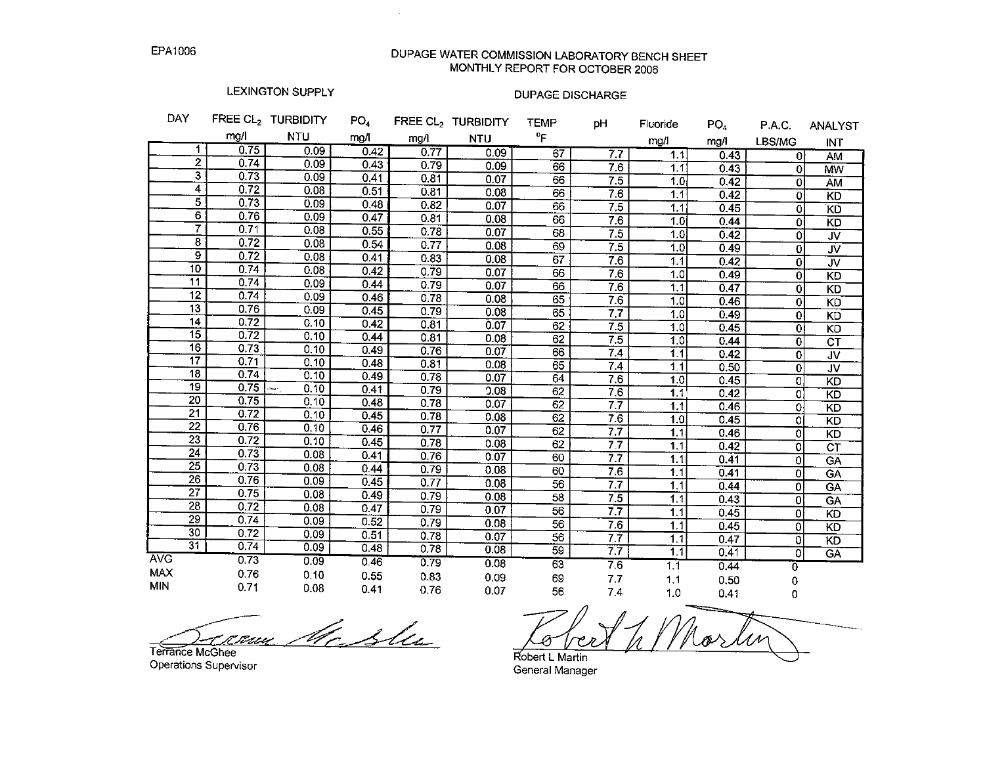DUPAGE WATER COMMISSION LABORATORY BENCH SHEET MONTHLY REPORT FOR OCTOBER 2006

# LEXINGTON SUPPLY

 $\mathcal{A}^{\mathcal{A}}$ 

| DAY                                |              | FREE CL <sub>2</sub> TURBIDITY | PO <sub>4</sub> |      | FREE CL <sub>2</sub> TURBIDITY | <b>TEMP</b>     | pH               | Fluoride         | PO <sub>4</sub> | PAC.           | <b>ANALYST</b>           |
|------------------------------------|--------------|--------------------------------|-----------------|------|--------------------------------|-----------------|------------------|------------------|-----------------|----------------|--------------------------|
|                                    | mg/l         | <b>NTU</b>                     | mg/l            | mg/l | <b>NTU</b>                     | $^{\circ}$ F    |                  | mg/l             | mg/l            | LBS/MG         | <b>INT</b>               |
| 1                                  | 0.75         | 0.09                           | 0.42            | 0.77 | 0.09                           | 67              | $\overline{7.7}$ | $\overline{1.1}$ | 0.43            | $\Omega$       | AM                       |
| $\overline{2}$                     | 0.74         | 0.09                           | 0.43            | 0.79 | 0.09                           | 66              | 7.6              | 1.1              | 0.43            | $\Omega$       | MW                       |
| $\overline{\mathbf{3}}$            | 0.73         | 0.09                           | 0.41            | 0.81 | 0.07                           | 66              | 7.5              | 1.0              | 0.42            | ΩI             | AM                       |
| 4                                  | 0.72         | 0.08                           | 0.51            | 0.81 | 0.08                           | 66              | 76               | 1.1              | 0.42            | 0              | $\overline{KD}$          |
| $\overline{5}$                     | 0.73         | 0.09                           | 0.48            | 0.82 | 0.07                           | 66              | 7.5              | 1.1              | 0.45            | ٥l             | KD                       |
| $\overline{6}$                     | 0.76         | 0.09                           | 0.47            | 0.81 | 0.08                           | 66              | 7.6              | 1.0              | 0.44            | Οİ             | KD                       |
| 7                                  | 0.71         | 0.08                           | 0.55            | 0.78 | 0.07                           | 68              | 7.5              | 1.0              | 0.42            | ΩI             | $\overline{\mathsf{w}}$  |
| $\overline{\mathbf{8}}$            | 0.72         | 0.08                           | 0.54            | 0.77 | 0.08                           | 69              | $\overline{7.5}$ | 1.0              | 0.49            | 0              | JV.                      |
| $\overline{9}$                     | 0.72         | 0.08                           | 0.41            | 0.83 | 0.08                           | 67              | 7.6              | 1.1              | 0.42            | $\Omega$       | $\overline{\mathsf{v}}$  |
| $\overline{10}$                    | 0.74         | 0.08                           | 0.42            | 0.79 | 0.07                           | 66              | 7.6              | 1.0              | 0.49            | 0              | KD                       |
| $\overline{11}$                    | 0.74         | 0.09                           | 0.44            | 0.79 | 0.07                           | 66              | 7.6              | 1.1              | 0.47            | 0              | KD                       |
| $\overline{12}$                    | 0.74         | 0.09                           | 0.46            | 0.78 | 0.08                           | $\overline{65}$ | 7.6              | 1.0              | 0.46            | $\overline{0}$ | KD                       |
| $\overline{13}$                    | 0.76         | 0.09                           | 0.45            | 0.79 | 0.08                           | 65              | 7.7              | 1.0              | 0.49            | $\overline{0}$ | KD                       |
| 14                                 | 0.72         | 0.10                           | 0.42            | 0.81 | 0.07                           | $\overline{62}$ | 7.5              | 1.0              | 0.45            | Οl             | KD                       |
| $\overline{15}$                    | 0.72         | 0.10                           | 0.44            | 0.81 | 0.08                           | 62              | 7.5              | 1.0              | 0.44            | 0              | $\overline{\textsf{CT}}$ |
| $\overline{16}$                    | 0.73         | 0.10                           | 0.49            | 0.76 | 0.07                           | 66              | $\overline{74}$  | 11               | 0.42            | ٥l             | JV                       |
| 17                                 | 0.71         | 0.10                           | 0.48            | 0.81 | 0.08                           | 65              | 74               | $11$             | 0.50            | $\overline{0}$ | $\overline{\mathsf{v}}$  |
| $\overline{18}$                    | 0.74         | 0.10                           | 0.49            | 0.78 | 0.07                           | 64              | 7.6              | 1.0              | 0.45            | 01             | <b>KD</b>                |
| 19                                 | 0.75         | 0.10<br>ويبط                   | 0.41            | 0.79 | 0.08                           | 62              | 7.6              | 1.1              | 0.42            | O.             | $\overline{5}$           |
| 20                                 | 0.75         | 0.10                           | 0.48            | 0.78 | 0.07                           | 62              | 7.7              | 1.1              | 0.46            | ٥ł             | $\overline{5}$           |
| $\overline{21}$                    | 0.72         | 0.10                           | 0.45            | 0.78 | 0.08                           | 62              | 7.6              | 1.0              | 0.45            | 01             | KD                       |
| $\overline{22}$                    | 0.76         | 0.10                           | 0.46            | 0.77 | 0.07                           | 62              | 7.7              | 1.1              | 0.46            | 0l             | <b>KD</b>                |
| 23                                 | 0.72         | 0.10                           | 0.45            | 0.78 | 0.08                           | 62              | 77               | 1.1              | 0.42            | 0l             | $\overline{\text{CT}}$   |
| $\overline{24}$<br>$\overline{25}$ | 0.73         | 0.08                           | 0.41            | 0.76 | 0.07                           | 60              | 7.7              | 1.1              | 0.41            | Οl             | GÄ                       |
| $\overline{26}$                    | 0.73         | 0.08                           | 0.44            | 0.79 | 0.08                           | 60              | 7.6              | 1.1              | 0.41            | $\overline{0}$ | <b>GA</b>                |
| $\overline{27}$                    | 0.76         | 0.09                           | 0.45            | 0.77 | 0.08                           | 56              | 7.7              | 1.1              | 0.44            | $\Omega$       | <b>GA</b>                |
| 28                                 | 0.75         | 0.08                           | 0.49            | 0.79 | 0.08                           | 58              | 7.5              | 1.1              | 0.43            | $\overline{0}$ | <b>GA</b>                |
| $\overline{29}$                    | 0.72         | 0.08                           | 0.47            | 0.79 | 0.07                           | 56              | 7.7              | 1.1              | 0.45            | $\mathbf{0}$   | KD                       |
| 30                                 | 0.74<br>0.72 | 0.09                           | 0.52            | 0.79 | 0.08                           | 56              | 7.6              | 1.1              | 0.45            | $\mathbf 0$    | KD                       |
| 31                                 | 0.74         | 0.09                           | 0.51            | 0.78 | 0.07                           | 56              | 7.7              | 1.1              | 0.47            | $\mathbf 0$    | KD                       |
| <b>AVG</b>                         | 0.73         | 0.09                           | 0.48            | 0.78 | 0.08                           | 59              | 7.7              | 1.1              | 0.41            | 0              | GÄ                       |
| <b>MAX</b>                         |              | 0.09                           | 0.46            | 0.79 | 0.08                           | 63              | 7.6              | 1.1              | 0.44            | $\overline{0}$ |                          |
| <b>MIN</b>                         | 0.76         | 0.10                           | 0.55            | 0.83 | 0.09                           | 69              | 7.7              | 1.1              | 0.50            | 0              |                          |
|                                    | 0.71         | 0.08                           | 0.41            | 0.76 | 0.07                           | 56              | 7.4              | 1.0              | 0.41            | 0              |                          |

Mc Shu <u>t it senn </u>

Terrance McGhee Operations Supervisor

Robert L Martin General Manager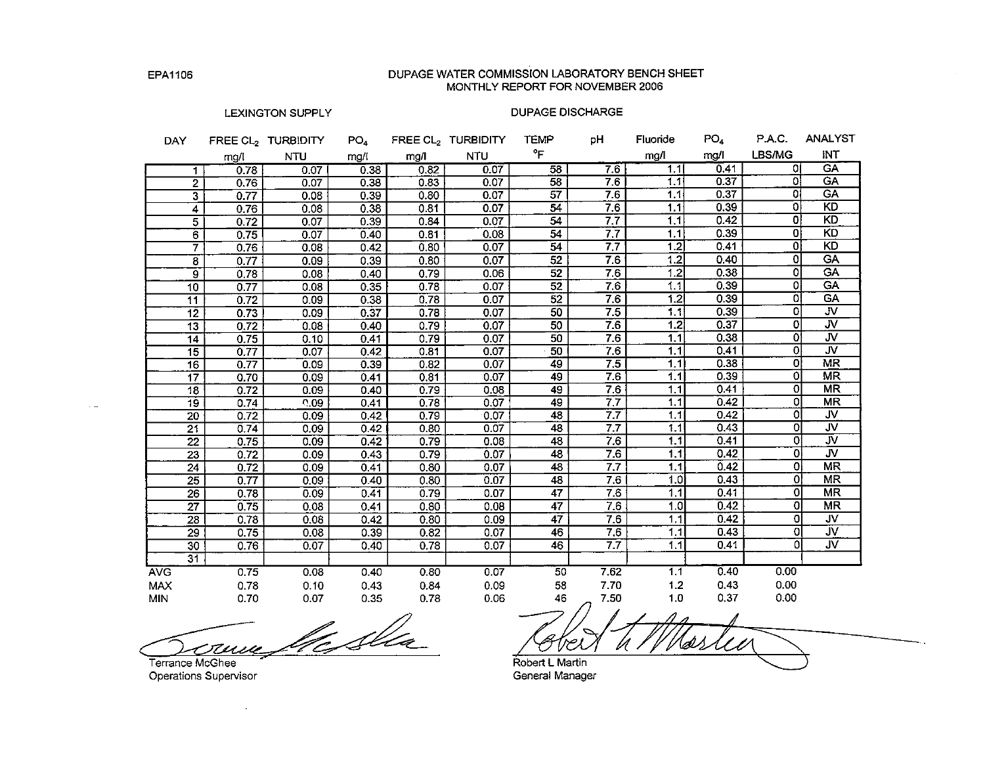## DUPAGE WATER COMMISSION LABORATORY BENCH SHEET MONTHLY REPORT FOR NOVEMBER 2006

#### LEXINGTON SUPPLY

| DAY             |                                 | FREE CL <sub>2</sub> TURBIDITY | PO <sub>4</sub> |      | FREE CL <sub>2</sub> TURBIDITY | <b>TEMP</b>     | рH                 | Fluoride        | PO <sub>4</sub> | P.A.C.         | <b>ANALYST</b>          |
|-----------------|---------------------------------|--------------------------------|-----------------|------|--------------------------------|-----------------|--------------------|-----------------|-----------------|----------------|-------------------------|
|                 | mg/l                            | <b>NTU</b>                     | mg/l            | mg/l | <b>NTU</b>                     | °F              |                    | mg/l            | mg/l            | LBS/MG         | INT                     |
|                 | 0.78<br>$\mathbf 1$             | 0.07                           | 0.38            | 0.82 | 0.07                           | $\overline{58}$ | 7.6                | 1.1             | 0.41            | οı             | <b>GA</b>               |
|                 | $\overline{2}$<br>0.76          | 0.07                           | 0.38            | 0.83 | 0.07                           | 58              | 7.6                | 1.1             | 0.37            | 0l             | <b>GA</b>               |
|                 | $\overline{\mathbf{3}}$<br>0.77 | 0.08                           | 0.39            | 0.80 | 0.07                           | $\overline{57}$ | 7.6                | 1,1             | 0.37            | οı             | <b>GA</b>               |
|                 | 4<br>0.76                       | 0.08                           | 0.38            | 0.81 | 0.07                           | $\overline{54}$ | 7.6                | 1.1             | 0.39            | οl             | KD                      |
|                 | $\overline{5}$<br>0.72          | 0.07                           | 0.39            | 0.84 | 0.07                           | 54              | $\overline{7.7}$   | 1.1             | 0.42            | 0l             | KD                      |
|                 | 6<br>0.75                       | 0.07                           | 0.40            | 0.81 | 0.08                           | 54              | 7.7                | 1.1             | 0.39            | οl             | KD                      |
|                 | $\overline{\tau}$<br>0.76       | 0.08                           | 0.42            | 0.80 | 0.07                           | 54              | 7.7                | 1.2             | 0.41            | $\overline{0}$ | <b>KD</b>               |
|                 | 0.77<br>8                       | 0.09                           | 0.39            | 0.80 | 0.07                           | 52              | 7.6                | 1.2             | 0.40            | $\overline{0}$ | <b>GA</b>               |
|                 | ॿ<br>0.78                       | 0.08                           | 0.40            | 0.79 | 0.06                           | 52              | 7.6                | 1.2             | 0.38            | $\overline{0}$ | <b>GA</b>               |
| 10 <sub>1</sub> | 0.77                            | 0.08                           | 0.35            | 0.78 | 0.07                           | $\overline{52}$ | 7.6                | 1.1             | 0.39            | $\Omega$       | GA <sup>T</sup>         |
| 11              | 0.72                            | 0.09                           | 0.38            | 0.78 | 0.07                           | $\overline{52}$ | 7.6                | 1.2             | 0.39            | $\overline{0}$ | <b>GA</b>               |
| 12              | 0.73                            | 0.09                           | 0.37            | 0.78 | 0.07                           | 50              | 7.5                | 1.1             | 0.39            | 0              | JV.                     |
| 13              | 0.72                            | 0.08                           | 0.40            | 0.79 | 0.07                           | 50              | 76                 | 1.2             | 0.37            | 0              | $\overline{\mathbf{w}}$ |
| 14              | 0.75                            | 0.10                           | 0.41            | 0.79 | 0.07                           | $\overline{50}$ | 7.6                | 1.1             | 0.38            | $\mathbf{0}$   | JV.                     |
| 15              | 0.77                            | 0.07                           | 0.42            | 0.81 | 0.07                           | 50              | 7.6                | 1.1             | 0.41            | $\overline{0}$ | $\overline{\mathsf{v}}$ |
| 16              | 0.77                            | 0.09                           | 0.39            | 0.82 | 0.07                           | 49              | 7.5                | 1.1             | 0.38            | 0              | MR                      |
| $\overline{17}$ | 0.70                            | 0.09                           | 0.41            | 0.81 | 0.07                           | 49              | 7.6                | 1.1             | 0.39            | 0              | MR                      |
| 18              | 0.72                            | 0.09                           | 0.40            | 0.79 | 0.08                           | 49              | 7.6                | $1.1$           | 0.41            | 0              | <b>MR</b>               |
| 19              | 0.74                            | 0.09                           | 0.41            | 0.78 | 0.07                           | 49              | 7.7                | 1.1             | 0.42            | 0              | <b>MR</b>               |
| 20              | 0.72                            | 0.09                           | 0.42            | 0.79 | 0.07                           | 48              | 7.7                | 1.1             | 0.42            | 0              | <b>JV</b>               |
| $\overline{21}$ | 0.74                            | 0.09                           | 0.42            | 0.80 | 0.07                           | 48              | 7.7                | 1.1             | 0.43            | 0              | JV.                     |
| $\overline{22}$ | 0.75                            | 0.09                           | 0.42            | 0.79 | 0.08                           | 48              | 7.6                | 1.1             | 0.41            | 0              | $\overline{\mathsf{v}}$ |
| 23              | 0.72                            | 0.09                           | 0.43            | 0.79 | 0.07                           | 48              | 7.6                | 1.1             | 0.42            | $\overline{0}$ | <b>JV</b>               |
| 24              | 0.72                            | 0.09                           | 0.41            | 0.80 | 0.07                           | 48              | 7.7                | 1.1             | 0.42            | ol             | MR                      |
| $\overline{25}$ | 0.77                            | 0.09                           | 0.40            | 0.80 | 0.07                           | 48              | 7.6                | 1.0             | 0.43            | $\overline{0}$ | $\overline{\text{MR}}$  |
|                 | $\overline{26}$<br>0.78         | 0.09                           | 0.41            | 0.79 | 0.07                           | $\overline{47}$ | 7.6                | 1.1             | 0.41            | οI             | <b>MR</b>               |
| $\overline{27}$ | 0.75                            | 0.08                           | 0.41            | 0.80 | 0.08                           | $\overline{47}$ | 7.6                | 1.0             | 0.42            | οl             | <b>MR</b>               |
| $\overline{28}$ | 0.78                            | 0.08                           | 0.42            | 0.80 | 0.09                           | $\overline{47}$ | 7.6                | 1.1             | 0.42            | 0              | JV.                     |
| 29              | 0.75                            | 0.08                           | 0.39            | 0.82 | 0.07                           | 46              | 7,6                | $\overline{11}$ | 0.43            | 0              | JV.                     |
| 30              | 0.76                            | 0.07                           | 0.40            | 0.78 | 0.07                           | 46              | 7.7                | 1.1             | 0.41            | οl             | JV.                     |
|                 | 31                              |                                |                 |      |                                |                 |                    |                 |                 |                |                         |
| <b>AVG</b>      | 0.75                            | 0.08                           | 0.40            | 0.80 | 0.07                           | $\overline{50}$ | 7.62               | 1.1             | 0.40            | 0.00           |                         |
| <b>MAX</b>      | 0.78                            | 0.10                           | 0.43            | 0.84 | 0.09                           | 58              | 7.70               | 1.2             | 0.43            | 0.00           |                         |
| <b>MIN</b>      | 0.70                            | 0.07                           | 0.35            | 0.78 | 0.06                           | 46              | 7.50<br>$\sqrt{ }$ | 1.0             | 0.37            | 0.00           |                         |

course the the

Terrance McGhee Operations Supervisor

Robert L Martin General Manager